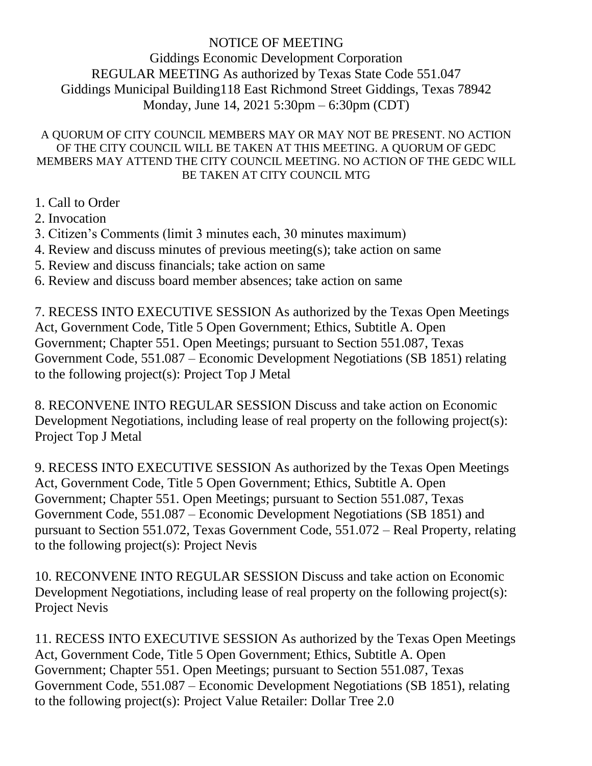## NOTICE OF MEETING

Giddings Economic Development Corporation REGULAR MEETING As authorized by Texas State Code 551.047 Giddings Municipal Building118 East Richmond Street Giddings, Texas 78942 Monday, June 14, 2021 5:30pm – 6:30pm (CDT)

## A QUORUM OF CITY COUNCIL MEMBERS MAY OR MAY NOT BE PRESENT. NO ACTION OF THE CITY COUNCIL WILL BE TAKEN AT THIS MEETING. A QUORUM OF GEDC MEMBERS MAY ATTEND THE CITY COUNCIL MEETING. NO ACTION OF THE GEDC WILL BE TAKEN AT CITY COUNCIL MTG

- 1. Call to Order
- 2. Invocation
- 3. Citizen's Comments (limit 3 minutes each, 30 minutes maximum)
- 4. Review and discuss minutes of previous meeting(s); take action on same
- 5. Review and discuss financials; take action on same
- 6. Review and discuss board member absences; take action on same

7. RECESS INTO EXECUTIVE SESSION As authorized by the Texas Open Meetings Act, Government Code, Title 5 Open Government; Ethics, Subtitle A. Open Government; Chapter 551. Open Meetings; pursuant to Section 551.087, Texas Government Code, 551.087 – Economic Development Negotiations (SB 1851) relating to the following project(s): Project Top J Metal

8. RECONVENE INTO REGULAR SESSION Discuss and take action on Economic Development Negotiations, including lease of real property on the following project(s): Project Top J Metal

9. RECESS INTO EXECUTIVE SESSION As authorized by the Texas Open Meetings Act, Government Code, Title 5 Open Government; Ethics, Subtitle A. Open Government; Chapter 551. Open Meetings; pursuant to Section 551.087, Texas Government Code, 551.087 – Economic Development Negotiations (SB 1851) and pursuant to Section 551.072, Texas Government Code, 551.072 – Real Property, relating to the following project(s): Project Nevis

10. RECONVENE INTO REGULAR SESSION Discuss and take action on Economic Development Negotiations, including lease of real property on the following project(s): Project Nevis

11. RECESS INTO EXECUTIVE SESSION As authorized by the Texas Open Meetings Act, Government Code, Title 5 Open Government; Ethics, Subtitle A. Open Government; Chapter 551. Open Meetings; pursuant to Section 551.087, Texas Government Code, 551.087 – Economic Development Negotiations (SB 1851), relating to the following project(s): Project Value Retailer: Dollar Tree 2.0